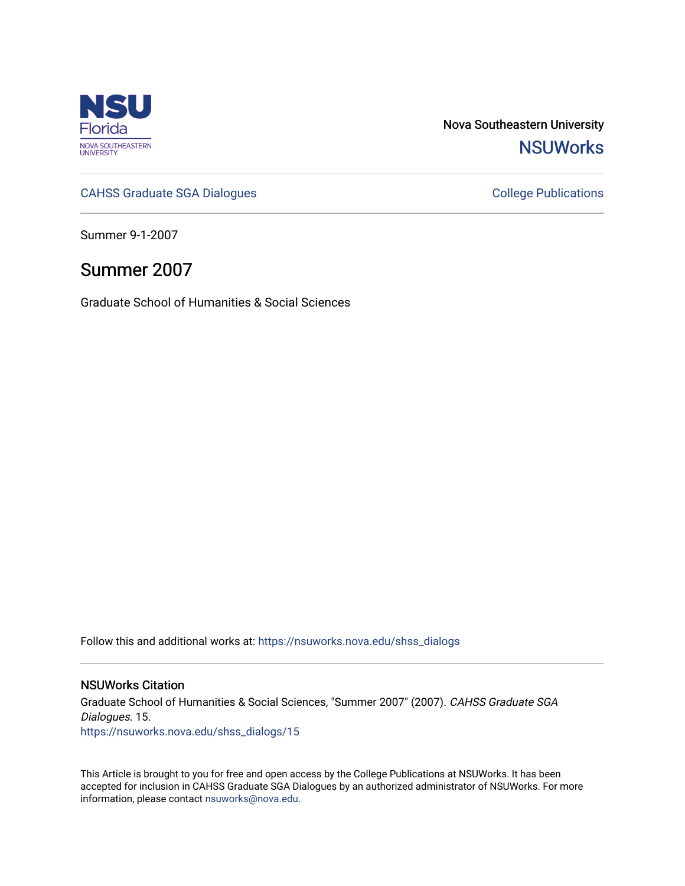

Nova Southeastern University **NSUWorks** 

[CAHSS Graduate SGA Dialogues](https://nsuworks.nova.edu/shss_dialogs) CAHSS Graduate SGA Dialogues

Summer 9-1-2007

## Summer 2007

Graduate School of Humanities & Social Sciences

Follow this and additional works at: [https://nsuworks.nova.edu/shss\\_dialogs](https://nsuworks.nova.edu/shss_dialogs?utm_source=nsuworks.nova.edu%2Fshss_dialogs%2F15&utm_medium=PDF&utm_campaign=PDFCoverPages)

#### NSUWorks Citation

Graduate School of Humanities & Social Sciences, "Summer 2007" (2007). CAHSS Graduate SGA Dialogues. 15. [https://nsuworks.nova.edu/shss\\_dialogs/15](https://nsuworks.nova.edu/shss_dialogs/15?utm_source=nsuworks.nova.edu%2Fshss_dialogs%2F15&utm_medium=PDF&utm_campaign=PDFCoverPages) 

This Article is brought to you for free and open access by the College Publications at NSUWorks. It has been accepted for inclusion in CAHSS Graduate SGA Dialogues by an authorized administrator of NSUWorks. For more information, please contact [nsuworks@nova.edu.](mailto:nsuworks@nova.edu)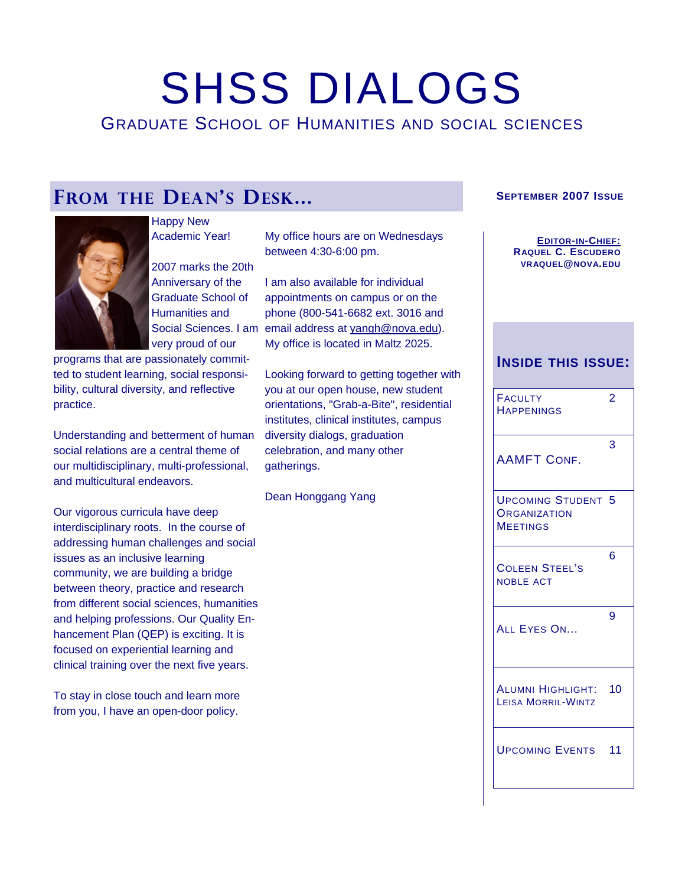# SHSS DIALOGS

GRADUATE SCHOOL OF HUMANITIES AND SOCIAL SCIENCES

# **FROM THE DEAN'S DESK...**



Happy New Academic Year!

2007 marks the 20th Anniversary of the Graduate School of Humanities and very proud of our

programs that are passionately committed to student learning, social responsibility, cultural diversity, and reflective practice.

Understanding and betterment of human social relations are a central theme of our multidisciplinary, multi-professional, and multicultural endeavors.

Our vigorous curricula have deep interdisciplinary roots. In the course of addressing human challenges and social issues as an inclusive learning community, we are building a bridge between theory, practice and research from different social sciences, humanities and helping professions. Our Quality Enhancement Plan (QEP) is exciting. It is focused on experiential learning and clinical training over the next five years.

To stay in close touch and learn more from you, I have an open-door policy.

My office hours are on Wednesdays between 4:30-6:00 pm.

Social Sciences. I am email address at [yangh@nova.edu](mailto:yangh@nova.edu)). I am also available for individual appointments on campus or on the phone (800-541-6682 ext. 3016 and My office is located in Maltz 2025.

> Looking forward to getting together with you at our open house, new student orientations, "Grab-a-Bite", residential institutes, clinical institutes, campus diversity dialogs, graduation celebration, and many other gatherings.

Dean Honggang Yang

#### **SEPTEMBER 2007 ISSUE**

**EDITOR-IN-CHIEF: RAQUEL C. ESCUDERO VRAQUEL@NOVA.EDU**

#### **INSIDE THIS ISSUE:**

| <b>FACULTY</b><br><b>HAPPENINGS</b>                      | 2 |
|----------------------------------------------------------|---|
| <b>AAMFT CONF.</b>                                       | 3 |
| <b>UPCOMING STUDENT 5</b><br>ORGANIZATION<br>MEETINGS    |   |
| <b>COLEEN STEEL'S</b><br><b>NOBLE ACT</b>                | 6 |
| ALL EYES ON                                              | 9 |
| <b>ALUMNI HIGHLIGHT: 10</b><br><b>LEISA MORRIL-WINTZ</b> |   |
| <b>UPCOMING EVENTS 11</b>                                |   |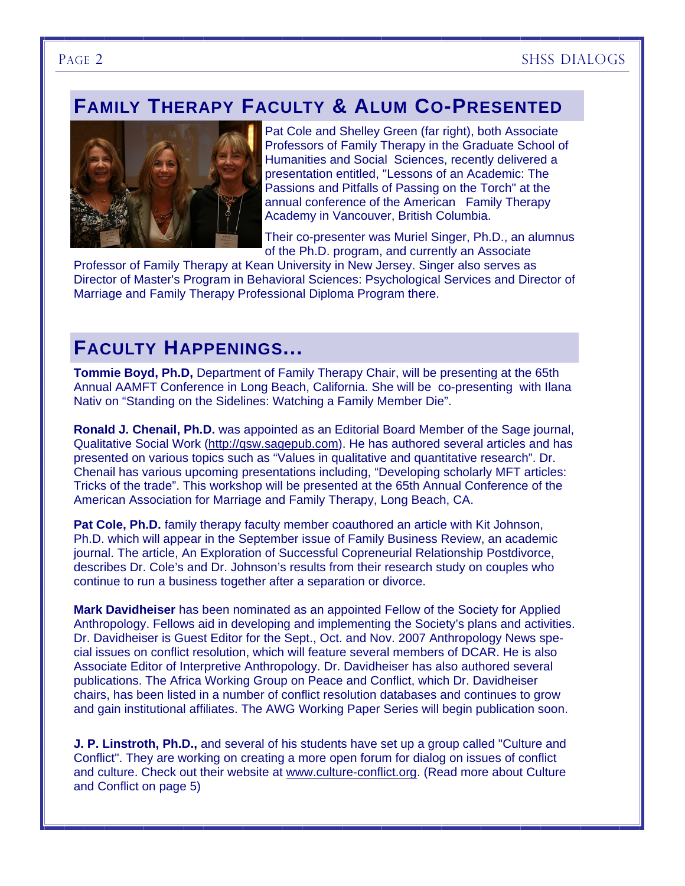# **FAMILY THERAPY FACULTY & ALUM CO-PRESENTED**



Pat Cole and Shelley Green (far right), both Associate Professors of Family Therapy in the Graduate School of Humanities and Social Sciences, recently delivered a presentation entitled, "Lessons of an Academic: The Passions and Pitfalls of Passing on the Torch" at the annual conference of the American Family Therapy Academy in Vancouver, British Columbia.

Their co-presenter was Muriel Singer, Ph.D., an alumnus of the Ph.D. program, and currently an Associate

Professor of Family Therapy at Kean University in New Jersey. Singer also serves as Director of Master's Program in Behavioral Sciences: Psychological Services and Director of Marriage and Family Therapy Professional Diploma Program there.

# **FACULTY HAPPENINGS...**

**Tommie Boyd, Ph.D,** Department of Family Therapy Chair, will be presenting at the 65th Annual AAMFT Conference in Long Beach, California. She will be co-presenting with Ilana Nativ on "Standing on the Sidelines: Watching a Family Member Die".

**Ronald J. Chenail, Ph.D.** was appointed as an Editorial Board Member of the Sage journal, Qualitative Social Work (<http://qsw.sagepub.com>). He has authored several articles and has presented on various topics such as "Values in qualitative and quantitative research". Dr. Chenail has various upcoming presentations including, "Developing scholarly MFT articles: Tricks of the trade". This workshop will be presented at the 65th Annual Conference of the American Association for Marriage and Family Therapy, Long Beach, CA.

Pat Cole, Ph.D. family therapy faculty member coauthored an article with Kit Johnson. Ph.D. which will appear in the September issue of Family Business Review, an academic journal. The article, An Exploration of Successful Copreneurial Relationship Postdivorce, describes Dr. Cole's and Dr. Johnson's results from their research study on couples who continue to run a business together after a separation or divorce.

**Mark Davidheiser** has been nominated as an appointed Fellow of the Society for Applied Anthropology. Fellows aid in developing and implementing the Society's plans and activities. Dr. Davidheiser is Guest Editor for the Sept., Oct. and Nov. 2007 Anthropology News special issues on conflict resolution, which will feature several members of DCAR. He is also Associate Editor of Interpretive Anthropology. Dr. Davidheiser has also authored several publications. The Africa Working Group on Peace and Conflict, which Dr. Davidheiser chairs, has been listed in a number of conflict resolution databases and continues to grow and gain institutional affiliates. The AWG Working Paper Series will begin publication soon.

**J. P. Linstroth, Ph.D.,** and several of his students have set up a group called "Culture and Conflict". They are working on creating a more open forum for dialog on issues of conflict and culture. Check out their website at [www.culture-conflict.org.](http://www.culture-conflict.org) (Read more about Culture and Conflict on page 5)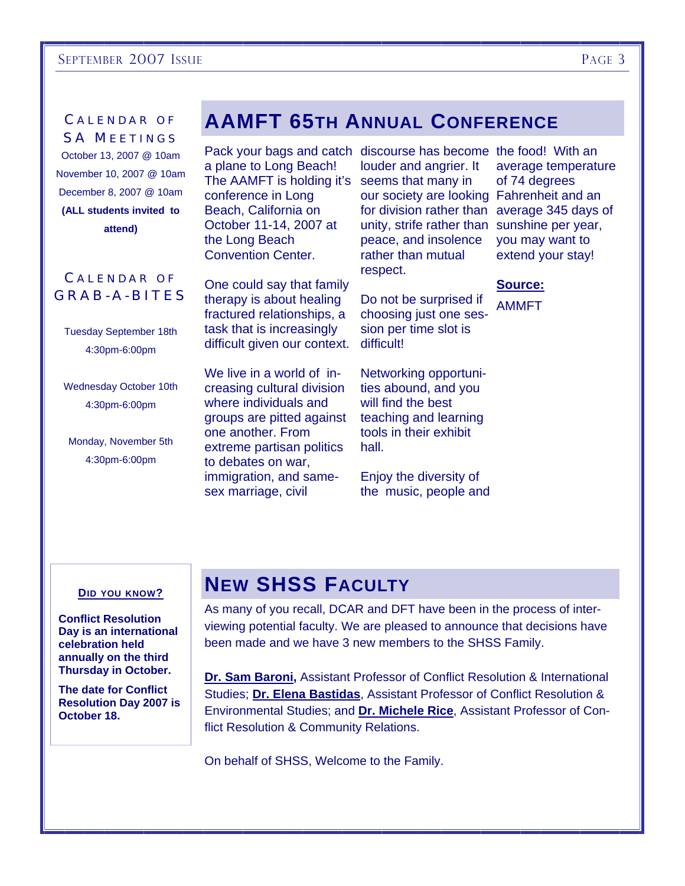#### SEPTEMBER 2007 ISSUE PAGE 3

### CALENDAR OF SA MEETINGS

October 13, 2007 @ 10am November 10, 2007 @ 10am December 8, 2007 @ 10am **(ALL students invited to attend)** 

#### **CALENDAR OF** GRAB-A-BITES

Tuesday September 18th 4:30pm-6:00pm

Wednesday October 10th 4:30pm-6:00pm

Monday, November 5th 4:30pm-6:00pm

# **AAMFT 65TH ANNUAL CONFERENCE**

Pack your bags and catch discourse has become the food! With an a plane to Long Beach! The AAMFT is holding it's seems that many in conference in Long Beach, California on October 11-14, 2007 at the Long Beach Convention Center.

One could say that family therapy is about healing fractured relationships, a task that is increasingly difficult given our context.

We live in a world of increasing cultural division where individuals and groups are pitted against one another. From extreme partisan politics to debates on war, immigration, and samesex marriage, civil

louder and angrier. It our society are looking Fahrenheit and an for division rather than average 345 days of unity, strife rather than sunshine per year, peace, and insolence rather than mutual respect.

Do not be surprised if choosing just one session per time slot is difficult!

Networking opportunities abound, and you will find the best teaching and learning tools in their exhibit hall.

Enjoy the diversity of the music, people and

average temperature of 74 degrees you may want to extend your stay!

#### **Source:**

AMMFT

#### **DID YOU KNOW?**

**Conflict Resolution Day is an international celebration held annually on the third Thursday in October.** 

**The date for Conflict Resolution Day 2007 is October 18.** 

# **NEW SHSS FACULTY**

As many of you recall, DCAR and DFT have been in the process of interviewing potential faculty. We are pleased to announce that decisions have been made and we have 3 new members to the SHSS Family.

**Dr. Sam Baroni,** Assistant Professor of Conflict Resolution & International Studies; **Dr. Elena Bastidas**, Assistant Professor of Conflict Resolution & Environmental Studies; and **Dr. Michele Rice**, Assistant Professor of Conflict Resolution & Community Relations.

On behalf of SHSS, Welcome to the Family.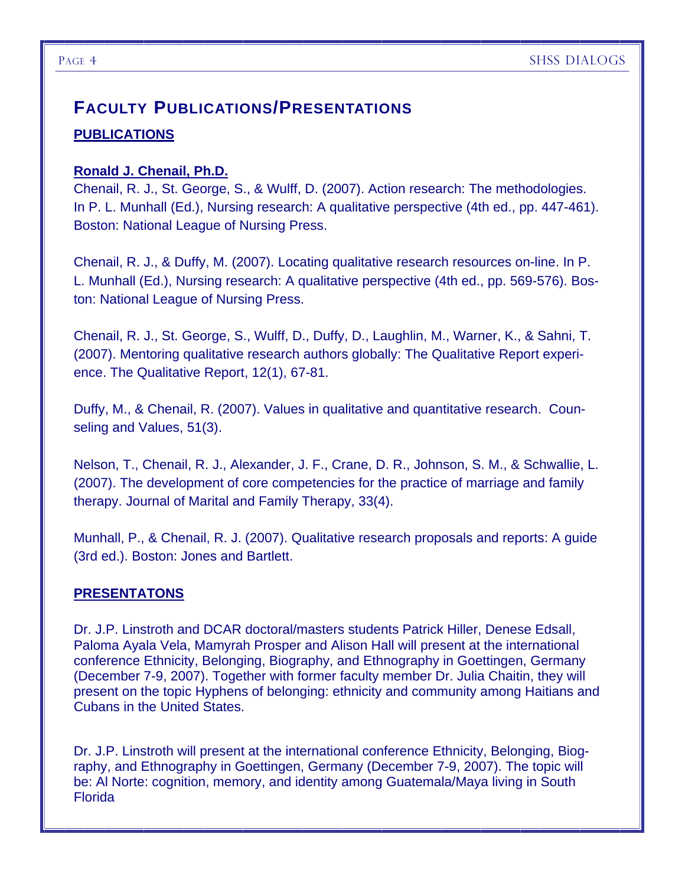# **PUBLICATIONS FACULTY PUBLICATIONS/PRESENTATIONS**

#### **Ronald J. Chenail, Ph.D.**

Chenail, R. J., St. George, S., & Wulff, D. (2007). Action research: The methodologies. In P. L. Munhall (Ed.), Nursing research: A qualitative perspective (4th ed., pp. 447-461). Boston: National League of Nursing Press.

Chenail, R. J., & Duffy, M. (2007). Locating qualitative research resources on-line. In P. L. Munhall (Ed.), Nursing research: A qualitative perspective (4th ed., pp. 569-576). Boston: National League of Nursing Press.

Chenail, R. J., St. George, S., Wulff, D., Duffy, D., Laughlin, M., Warner, K., & Sahni, T. (2007). Mentoring qualitative research authors globally: The Qualitative Report experience. The Qualitative Report, 12(1), 67-81.

Duffy, M., & Chenail, R. (2007). Values in qualitative and quantitative research. Counseling and Values, 51(3).

Nelson, T., Chenail, R. J., Alexander, J. F., Crane, D. R., Johnson, S. M., & Schwallie, L. (2007). The development of core competencies for the practice of marriage and family therapy. Journal of Marital and Family Therapy, 33(4).

Munhall, P., & Chenail, R. J. (2007). Qualitative research proposals and reports: A guide (3rd ed.). Boston: Jones and Bartlett.

### **PRESENTATONS**

Dr. J.P. Linstroth and DCAR doctoral/masters students Patrick Hiller, Denese Edsall, Paloma Ayala Vela, Mamyrah Prosper and Alison Hall will present at the international conference Ethnicity, Belonging, Biography, and Ethnography in Goettingen, Germany (December 7-9, 2007). Together with former faculty member Dr. Julia Chaitin, they will present on the topic Hyphens of belonging: ethnicity and community among Haitians and Cubans in the United States.

Dr. J.P. Linstroth will present at the international conference Ethnicity, Belonging, Biography, and Ethnography in Goettingen, Germany (December 7-9, 2007). The topic will be: Al Norte: cognition, memory, and identity among Guatemala/Maya living in South Florida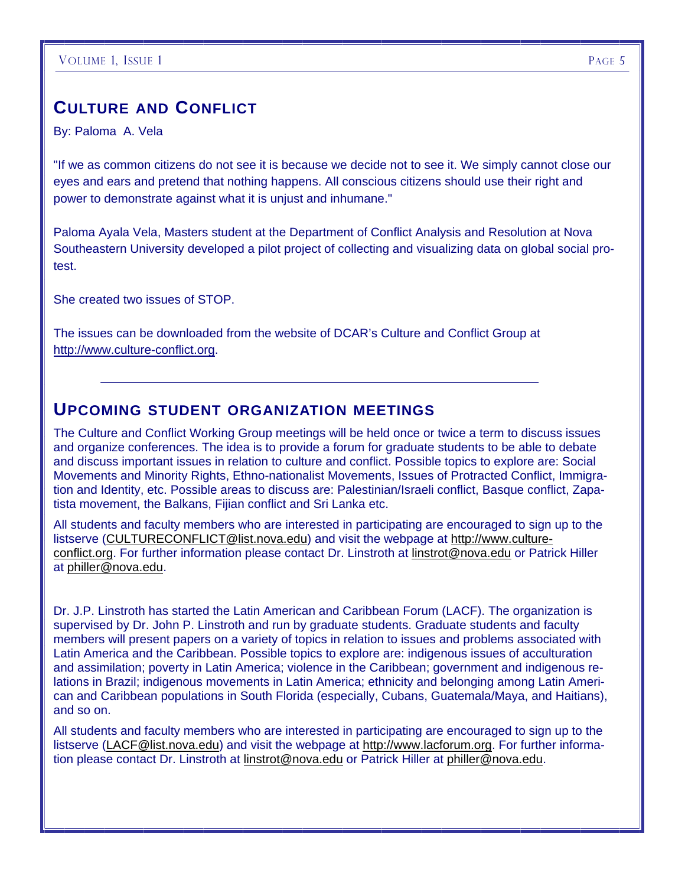# **CULTURE AND CONFLICT**

By: Paloma A. Vela

"If we as common citizens do not see it is because we decide not to see it. We simply cannot close our eyes and ears and pretend that nothing happens. All conscious citizens should use their right and power to demonstrate against what it is unjust and inhumane."

Paloma Ayala Vela, Masters student at the Department of Conflict Analysis and Resolution at Nova Southeastern University developed a pilot project of collecting and visualizing data on global social protest.

She created two issues of STOP.

The issues can be downloaded from the website of DCAR's Culture and Conflict Group at <http://www.culture-conflict.org>.

### **UPCOMING STUDENT ORGANIZATION MEETINGS**

The Culture and Conflict Working Group meetings will be held once or twice a term to discuss issues and organize conferences. The idea is to provide a forum for graduate students to be able to debate and discuss important issues in relation to culture and conflict. Possible topics to explore are: Social Movements and Minority Rights, Ethno-nationalist Movements, Issues of Protracted Conflict, Immigration and Identity, etc. Possible areas to discuss are: Palestinian/Israeli conflict, Basque conflict, Zapatista movement, the Balkans, Fijian conflict and Sri Lanka etc.

All students and faculty members who are interested in participating are encouraged to sign up to the listserve ([CULTURECONFLICT@list.nova.edu\)](mailto:CULTURECONFLICT@list.nova.edu) and visit the webpage at [http://www.culture](http://www.culture-conflict.org)[conflict.org.](http://www.culture-conflict.org) For further information please contact Dr. Linstroth at [linstrot@nova.edu](mailto:linstrot@nova.edu) or Patrick Hiller at [philler@nova.edu.](mailto:philler@nova.edu)

Dr. J.P. Linstroth has started the Latin American and Caribbean Forum (LACF). The organization is supervised by Dr. John P. Linstroth and run by graduate students. Graduate students and faculty members will present papers on a variety of topics in relation to issues and problems associated with Latin America and the Caribbean. Possible topics to explore are: indigenous issues of acculturation and assimilation; poverty in Latin America; violence in the Caribbean; government and indigenous relations in Brazil; indigenous movements in Latin America; ethnicity and belonging among Latin American and Caribbean populations in South Florida (especially, Cubans, Guatemala/Maya, and Haitians), and so on.

All students and faculty members who are interested in participating are encouraged to sign up to the listserve ([LACF@list.nova.edu](mailto:LACF@list.nova.edu)) and visit the webpage at [http://www.lacforum.org.](http://www.lacforum.org) For further information please contact Dr. Linstroth at [linstrot@nova.edu](mailto:linstrot@nova.edu) or Patrick Hiller at [philler@nova.edu](mailto:philler@nova.edu).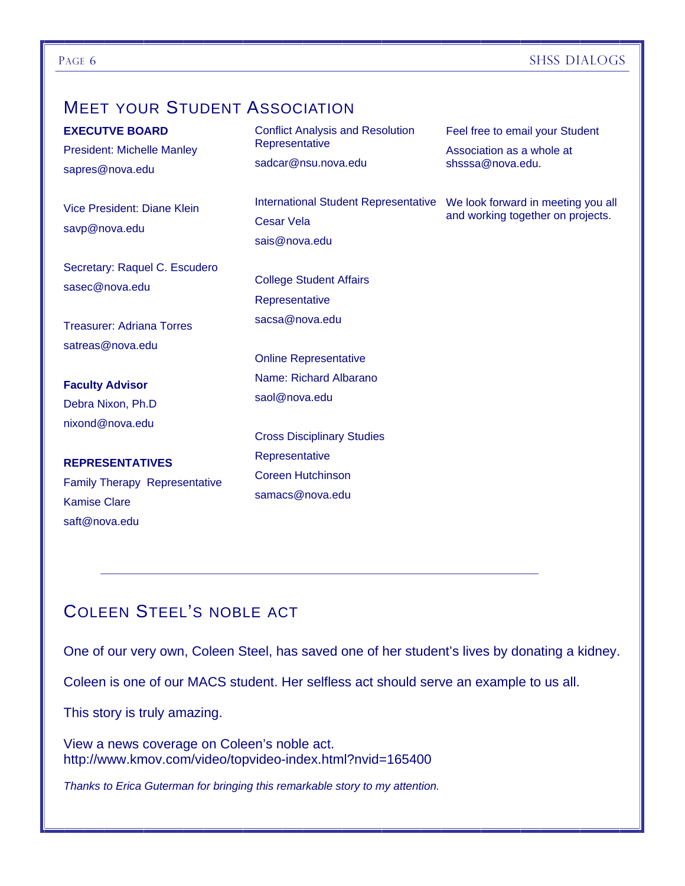#### PAGE 6 SHSS DIALOGS

# **MEET YOUR STUDENT ASSOCIATION**

| <b>EXECUTVE BOARD</b><br><b>President: Michelle Manley</b><br>sapres@nova.edu | <b>Conflict Analysis and Resolution</b><br>Representative<br>sadcar@nsu.nova.edu                               | Feel free to email your Student<br>Association as a whole at<br>shsssa@nova.edu. |
|-------------------------------------------------------------------------------|----------------------------------------------------------------------------------------------------------------|----------------------------------------------------------------------------------|
| Vice President: Diane Klein<br>savp@nova.edu                                  | International Student Representative  We look forward in meeting you all<br><b>Cesar Vela</b><br>sais@nova.edu | and working together on projects.                                                |
| Secretary: Raquel C. Escudero<br>sasec@nova.edu                               | <b>College Student Affairs</b><br>Representative                                                               |                                                                                  |
| <b>Treasurer: Adriana Torres</b>                                              | sacsa@nova.edu                                                                                                 |                                                                                  |
| satreas@nova.edu                                                              | <b>Online Representative</b>                                                                                   |                                                                                  |
| <b>Faculty Advisor</b>                                                        | Name: Richard Albarano                                                                                         |                                                                                  |
| Debra Nixon, Ph.D                                                             | saol@nova.edu                                                                                                  |                                                                                  |
| nixond@nova.edu                                                               | <b>Cross Disciplinary Studies</b>                                                                              |                                                                                  |
| <b>REPRESENTATIVES</b>                                                        | Representative                                                                                                 |                                                                                  |
| <b>Family Therapy Representative</b>                                          | <b>Coreen Hutchinson</b>                                                                                       |                                                                                  |
| <b>Kamise Clare</b>                                                           | samacs@nova.edu                                                                                                |                                                                                  |
| saft@nova.edu                                                                 |                                                                                                                |                                                                                  |

# COLEEN STEEL'S NOBLE ACT

One of our very own, Coleen Steel, has saved one of her student's lives by donating a kidney.

Coleen is one of our MACS student. Her selfless act should serve an example to us all.

This story is truly amazing.

View a news coverage on Coleen's noble act. http://www.kmov.com/video/topvideo-index.html?nvid=165400

*Thanks to Erica Guterman for bringing this remarkable story to my attention.*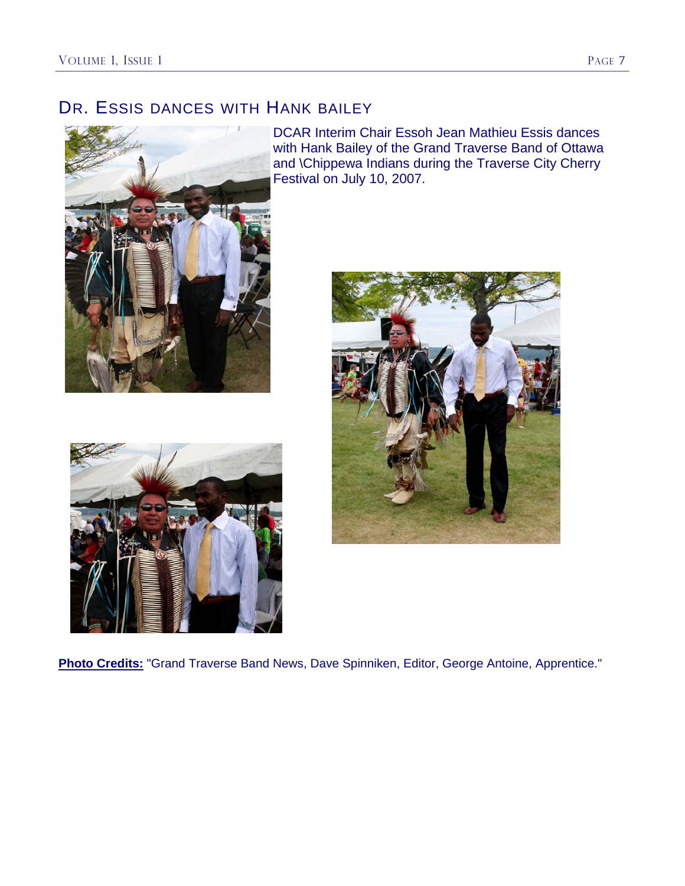# DR. ESSIS DANCES WITH HANK BAILEY



DCAR Interim Chair Essoh Jean Mathieu Essis dances with Hank Bailey of the Grand Traverse Band of Ottawa and \Chippewa Indians during the Traverse City Cherry Festival on July 10, 2007.





**Photo Credits:** "Grand Traverse Band News, Dave Spinniken, Editor, George Antoine, Apprentice."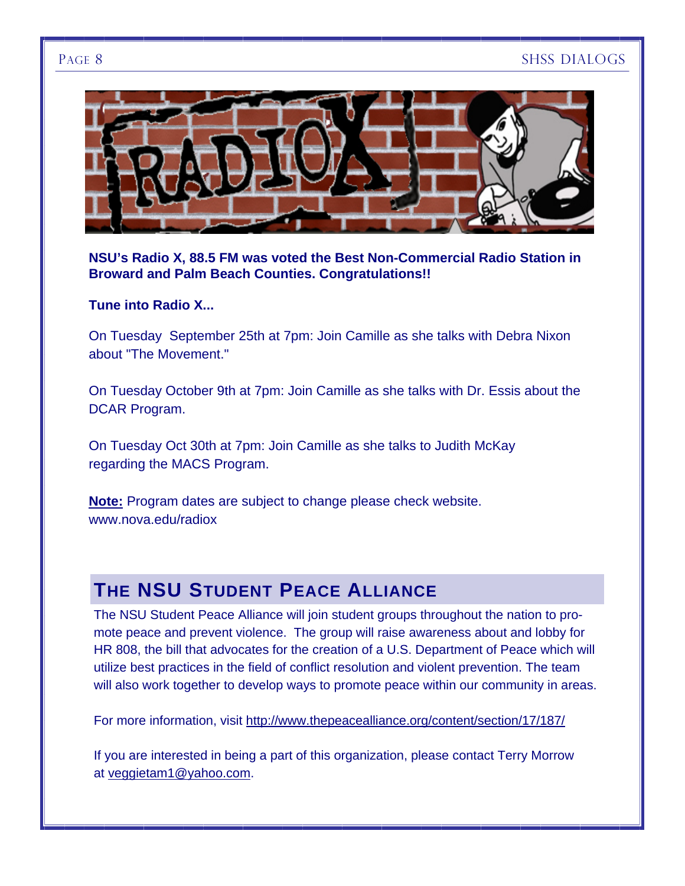

**NSU's Radio X, 88.5 FM was voted the Best Non-Commercial Radio Station in Broward and Palm Beach Counties. Congratulations!!** 

#### **Tune into Radio X...**

On Tuesday September 25th at 7pm: Join Camille as she talks with Debra Nixon about "The Movement."

On Tuesday October 9th at 7pm: Join Camille as she talks with Dr. Essis about the DCAR Program.

On Tuesday Oct 30th at 7pm: Join Camille as she talks to Judith McKay regarding the MACS Program.

**Note:** Program dates are subject to change please check website. www.nova.edu/radiox

# **THE NSU STUDENT PEACE ALLIANCE**

The NSU Student Peace Alliance will join student groups throughout the nation to promote peace and prevent violence. The group will raise awareness about and lobby for HR 808, the bill that advocates for the creation of a U.S. Department of Peace which will utilize best practices in the field of conflict resolution and violent prevention. The team will also work together to develop ways to promote peace within our community in areas.

For more information, visit <http://www.thepeacealliance.org/content/section/17/187/>

If you are interested in being a part of this organization, please contact Terry Morrow at [veggietam1@yahoo.com.](mailto:veggietam1@yahoo.com)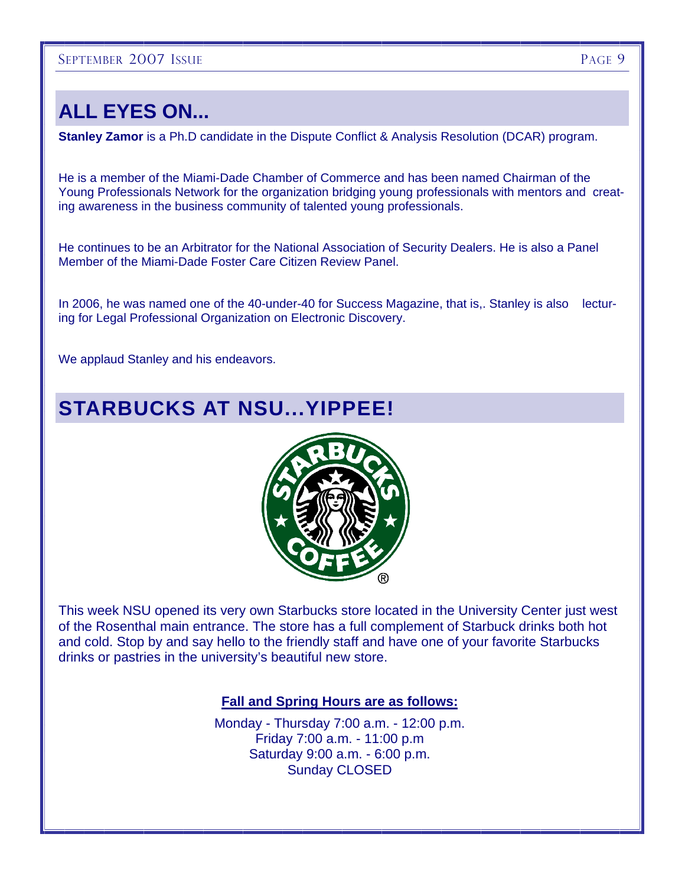# **ALL EYES ON...**

**Stanley Zamor** is a Ph.D candidate in the Dispute Conflict & Analysis Resolution (DCAR) program.

He is a member of the Miami-Dade Chamber of Commerce and has been named Chairman of the Young Professionals Network for the organization bridging young professionals with mentors and creating awareness in the business community of talented young professionals.

He continues to be an Arbitrator for the National Association of Security Dealers. He is also a Panel Member of the Miami-Dade Foster Care Citizen Review Panel.

In 2006, he was named one of the 40-under-40 for Success Magazine, that is,. Stanley is also lecturing for Legal Professional Organization on Electronic Discovery.

We applaud Stanley and his endeavors.

# **STARBUCKS AT NSU...YIPPEE!**



This week NSU opened its very own Starbucks store located in the University Center just west of the Rosenthal main entrance. The store has a full complement of Starbuck drinks both hot and cold. Stop by and say hello to the friendly staff and have one of your favorite Starbucks drinks or pastries in the university's beautiful new store.

#### **Fall and Spring Hours are as follows:**

Monday - Thursday 7:00 a.m. - 12:00 p.m. Friday 7:00 a.m. - 11:00 p.m Saturday 9:00 a.m. - 6:00 p.m. Sunday CLOSED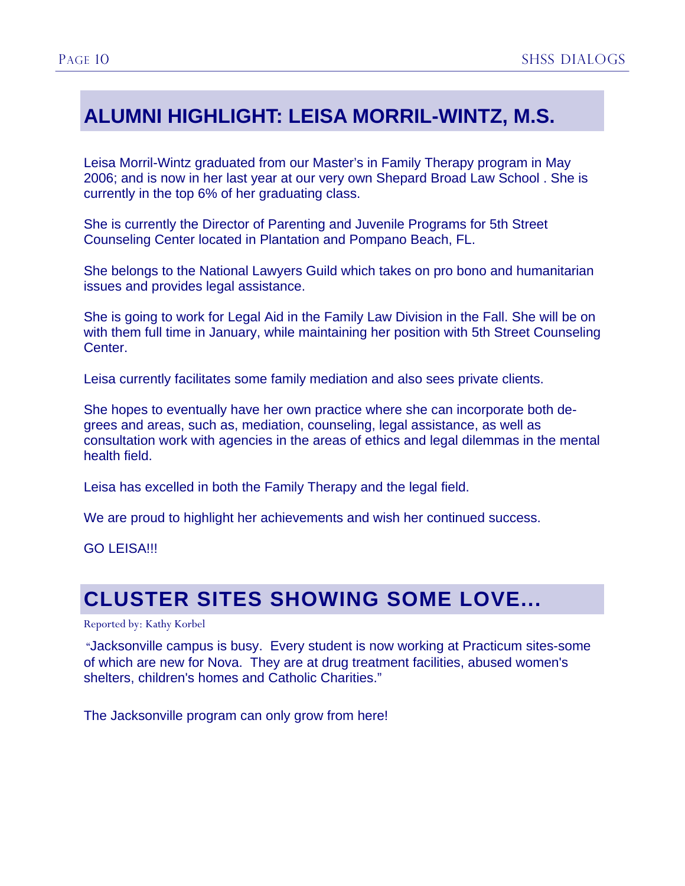# **ALUMNI HIGHLIGHT: LEISA MORRIL-WINTZ, M.S.**

Leisa Morril-Wintz graduated from our Master's in Family Therapy program in May 2006; and is now in her last year at our very own Shepard Broad Law School . She is currently in the top 6% of her graduating class.

She is currently the Director of Parenting and Juvenile Programs for 5th Street Counseling Center located in Plantation and Pompano Beach, FL.

She belongs to the National Lawyers Guild which takes on pro bono and humanitarian issues and provides legal assistance.

She is going to work for Legal Aid in the Family Law Division in the Fall. She will be on with them full time in January, while maintaining her position with 5th Street Counseling Center.

Leisa currently facilitates some family mediation and also sees private clients.

She hopes to eventually have her own practice where she can incorporate both degrees and areas, such as, mediation, counseling, legal assistance, as well as consultation work with agencies in the areas of ethics and legal dilemmas in the mental health field.

Leisa has excelled in both the Family Therapy and the legal field.

We are proud to highlight her achievements and wish her continued success.

GO LEISA!!!

# **CLUSTER SITES SHOWING SOME LOVE...**

#### Reported by: Kathy Korbel

 "Jacksonville campus is busy. Every student is now working at Practicum sites-some of which are new for Nova. They are at drug treatment facilities, abused women's shelters, children's homes and Catholic Charities."

The Jacksonville program can only grow from here!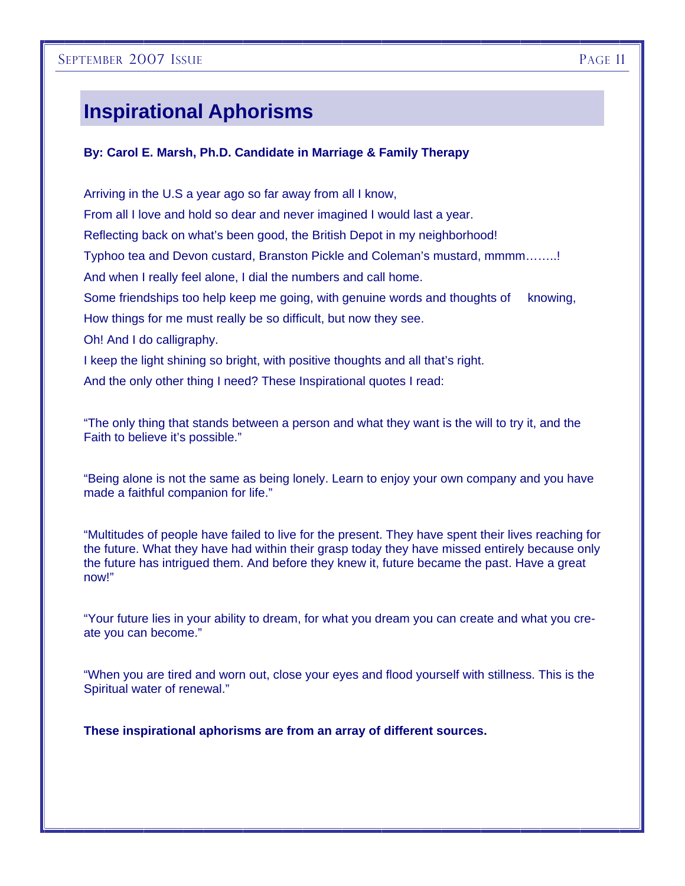# **Inspirational Aphorisms**

#### **By: Carol E. Marsh, Ph.D. Candidate in Marriage & Family Therapy**

Arriving in the U.S a year ago so far away from all I know, From all I love and hold so dear and never imagined I would last a year. Reflecting back on what's been good, the British Depot in my neighborhood! Typhoo tea and Devon custard, Branston Pickle and Coleman's mustard, mmmm……..! And when I really feel alone, I dial the numbers and call home. Some friendships too help keep me going, with genuine words and thoughts of knowing, How things for me must really be so difficult, but now they see. Oh! And I do calligraphy. I keep the light shining so bright, with positive thoughts and all that's right. And the only other thing I need? These Inspirational quotes I read:

"The only thing that stands between a person and what they want is the will to try it, and the Faith to believe it's possible."

"Being alone is not the same as being lonely. Learn to enjoy your own company and you have made a faithful companion for life."

"Multitudes of people have failed to live for the present. They have spent their lives reaching for the future. What they have had within their grasp today they have missed entirely because only the future has intrigued them. And before they knew it, future became the past. Have a great now!"

"Your future lies in your ability to dream, for what you dream you can create and what you create you can become."

"When you are tired and worn out, close your eyes and flood yourself with stillness. This is the Spiritual water of renewal."

**These inspirational aphorisms are from an array of different sources.**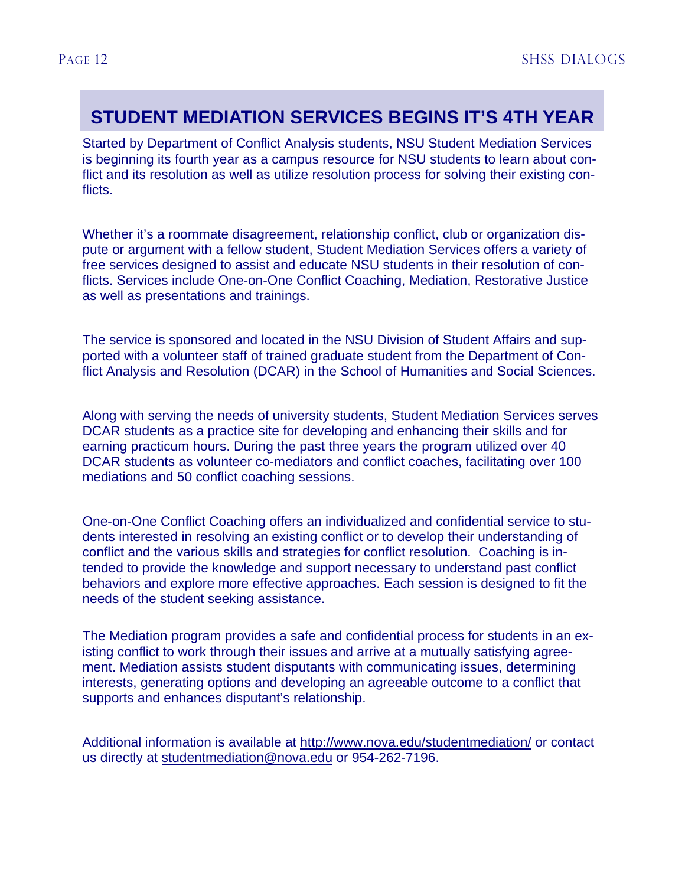# **STUDENT MEDIATION SERVICES BEGINS IT'S 4TH YEAR**

Started by Department of Conflict Analysis students, NSU Student Mediation Services is beginning its fourth year as a campus resource for NSU students to learn about conflict and its resolution as well as utilize resolution process for solving their existing conflicts.

Whether it's a roommate disagreement, relationship conflict, club or organization dispute or argument with a fellow student, Student Mediation Services offers a variety of free services designed to assist and educate NSU students in their resolution of conflicts. Services include One-on-One Conflict Coaching, Mediation, Restorative Justice as well as presentations and trainings.

The service is sponsored and located in the NSU Division of Student Affairs and supported with a volunteer staff of trained graduate student from the Department of Conflict Analysis and Resolution (DCAR) in the School of Humanities and Social Sciences.

Along with serving the needs of university students, Student Mediation Services serves DCAR students as a practice site for developing and enhancing their skills and for earning practicum hours. During the past three years the program utilized over 40 DCAR students as volunteer co-mediators and conflict coaches, facilitating over 100 mediations and 50 conflict coaching sessions.

One-on-One Conflict Coaching offers an individualized and confidential service to students interested in resolving an existing conflict or to develop their understanding of conflict and the various skills and strategies for conflict resolution. Coaching is intended to provide the knowledge and support necessary to understand past conflict behaviors and explore more effective approaches. Each session is designed to fit the needs of the student seeking assistance.

The Mediation program provides a safe and confidential process for students in an existing conflict to work through their issues and arrive at a mutually satisfying agreement. Mediation assists student disputants with communicating issues, determining interests, generating options and developing an agreeable outcome to a conflict that supports and enhances disputant's relationship.

Additional information is available at <http://www.nova.edu/studentmediation/>or contact us directly at [studentmediation@nova.edu](mailto:studentmediation@nova.edu) or 954-262-7196.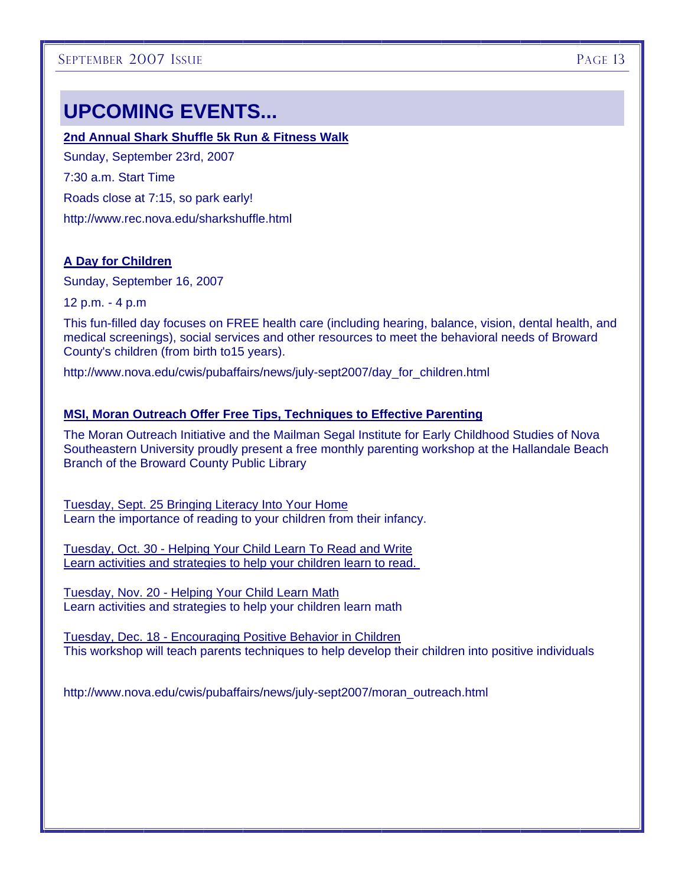# **UPCOMING EVENTS...**

#### **2nd Annual Shark Shuffle 5k Run & Fitness Walk**

Sunday, September 23rd, 2007 7:30 a.m. Start Time Roads close at 7:15, so park early! http://www.rec.nova.edu/sharkshuffle.html

#### **A Day for Children**

Sunday, September 16, 2007

12 p.m. - 4 p.m

This fun-filled day focuses on FREE health care (including hearing, balance, vision, dental health, and medical screenings), social services and other resources to meet the behavioral needs of Broward County's children (from birth to15 years).

http://www.nova.edu/cwis/pubaffairs/news/july-sept2007/day\_for\_children.html

#### **MSI, Moran Outreach Offer Free Tips, Techniques to Effective Parenting**

The Moran Outreach Initiative and the Mailman Segal Institute for Early Childhood Studies of Nova Southeastern University proudly present a free monthly parenting workshop at the Hallandale Beach Branch of the Broward County Public Library

Tuesday, Sept. 25 Bringing Literacy Into Your Home Learn the importance of reading to your children from their infancy.

Tuesday, Oct. 30 - Helping Your Child Learn To Read and Write Learn activities and strategies to help your children learn to read.

Tuesday, Nov. 20 - Helping Your Child Learn Math Learn activities and strategies to help your children learn math

Tuesday, Dec. 18 - Encouraging Positive Behavior in Children This workshop will teach parents techniques to help develop their children into positive individuals

http://www.nova.edu/cwis/pubaffairs/news/july-sept2007/moran\_outreach.html